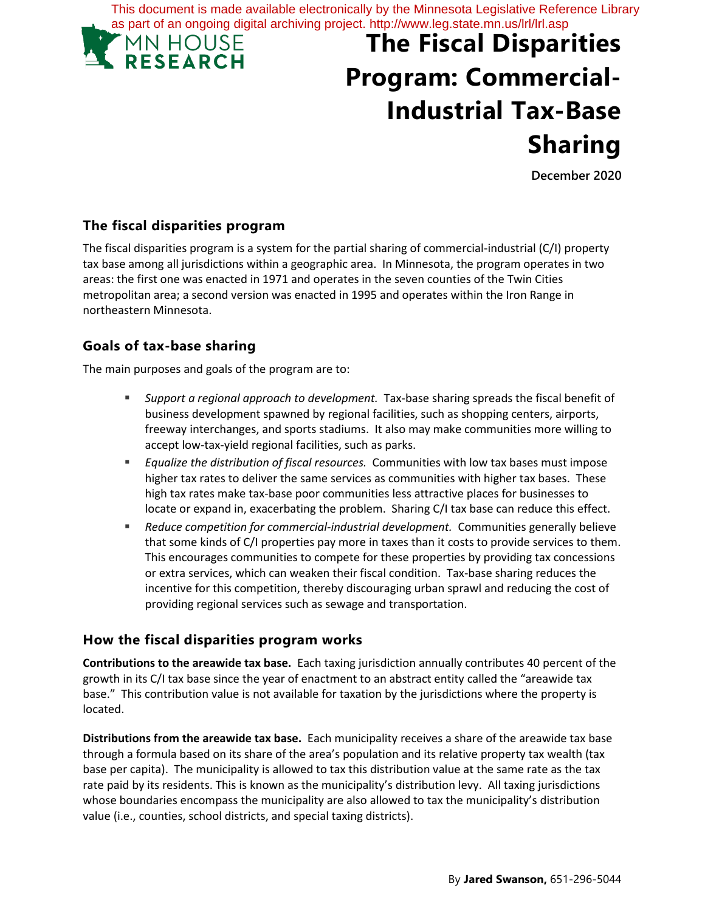This document is made available electronically by the Minnesota Legislative Reference Library as part of an ongoing digital archiving project. http://www.leg.state.mn.us/lrl/lrl.asp



# **The Fiscal Disparities Program: Commercial-Industrial Tax-Base Sharing**

**December 2020**

## **The fiscal disparities program**

The fiscal disparities program is a system for the partial sharing of commercial-industrial (C/I) property tax base among all jurisdictions within a geographic area. In Minnesota, the program operates in two areas: the first one was enacted in 1971 and operates in the seven counties of the Twin Cities metropolitan area; a second version was enacted in 1995 and operates within the Iron Range in northeastern Minnesota.

# **Goals of tax-base sharing**

The main purposes and goals of the program are to:

- *Support a regional approach to development.* Tax-base sharing spreads the fiscal benefit of business development spawned by regional facilities, such as shopping centers, airports, freeway interchanges, and sports stadiums. It also may make communities more willing to accept low-tax-yield regional facilities, such as parks.
- *Equalize the distribution of fiscal resources.* Communities with low tax bases must impose higher tax rates to deliver the same services as communities with higher tax bases. These high tax rates make tax-base poor communities less attractive places for businesses to locate or expand in, exacerbating the problem. Sharing C/I tax base can reduce this effect.
- *Reduce competition for commercial-industrial development.* Communities generally believe that some kinds of C/I properties pay more in taxes than it costs to provide services to them. This encourages communities to compete for these properties by providing tax concessions or extra services, which can weaken their fiscal condition. Tax-base sharing reduces the incentive for this competition, thereby discouraging urban sprawl and reducing the cost of providing regional services such as sewage and transportation.

#### **How the fiscal disparities program works**

**Contributions to the areawide tax base.** Each taxing jurisdiction annually contributes 40 percent of the growth in its C/I tax base since the year of enactment to an abstract entity called the "areawide tax base." This contribution value is not available for taxation by the jurisdictions where the property is located.

**Distributions from the areawide tax base.** Each municipality receives a share of the areawide tax base through a formula based on its share of the area's population and its relative property tax wealth (tax base per capita). The municipality is allowed to tax this distribution value at the same rate as the tax rate paid by its residents. This is known as the municipality's distribution levy. All taxing jurisdictions whose boundaries encompass the municipality are also allowed to tax the municipality's distribution value (i.e., counties, school districts, and special taxing districts).